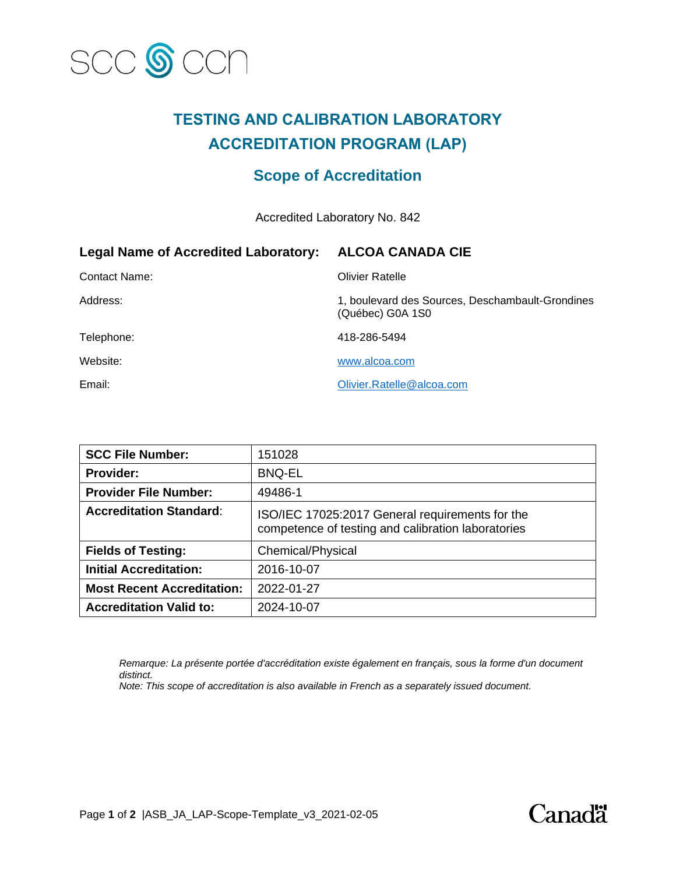

## **TESTING AND CALIBRATION LABORATORY ACCREDITATION PROGRAM (LAP)**

### **Scope of Accreditation**

Accredited Laboratory No. 842

| <b>Legal Name of Accredited Laboratory:</b> | <b>ALCOA CANADA CIE</b>                                              |
|---------------------------------------------|----------------------------------------------------------------------|
| Contact Name:                               | <b>Olivier Ratelle</b>                                               |
| Address:                                    | 1, boulevard des Sources, Deschambault-Grondines<br>(Québec) G0A 1S0 |
| Telephone:                                  | 418-286-5494                                                         |
| Website:                                    | www.alcoa.com                                                        |
| Email:                                      | Olivier.Ratelle@alcoa.com                                            |

| <b>SCC File Number:</b>           | 151028                                                                                                |
|-----------------------------------|-------------------------------------------------------------------------------------------------------|
| <b>Provider:</b>                  | <b>BNQ-EL</b>                                                                                         |
| <b>Provider File Number:</b>      | 49486-1                                                                                               |
| <b>Accreditation Standard:</b>    | ISO/IEC 17025:2017 General requirements for the<br>competence of testing and calibration laboratories |
| <b>Fields of Testing:</b>         | Chemical/Physical                                                                                     |
| <b>Initial Accreditation:</b>     | 2016-10-07                                                                                            |
| <b>Most Recent Accreditation:</b> | 2022-01-27                                                                                            |
| <b>Accreditation Valid to:</b>    | 2024-10-07                                                                                            |

*Remarque: La présente portée d'accréditation existe également en français, sous la forme d'un document distinct.*

*Note: This scope of accreditation is also available in French as a separately issued document.*